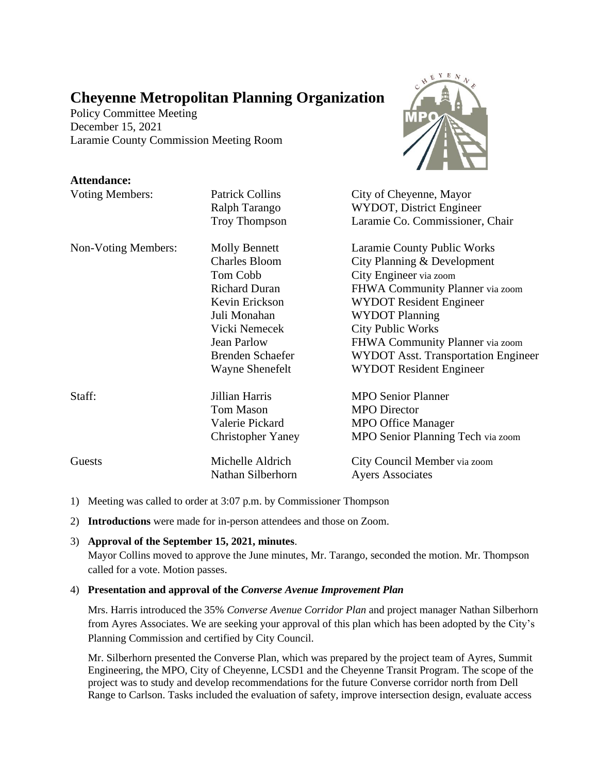# **Cheyenne Metropolitan Planning Organization**

Policy Committee Meeting December 15, 2021 Laramie County Commission Meeting Room

## **Attendance:**

| <b>Voting Members:</b> | <b>Patrick Collins</b>   | City of Cheyenne, Mayor                    |
|------------------------|--------------------------|--------------------------------------------|
|                        | Ralph Tarango            | WYDOT, District Engineer                   |
|                        | <b>Troy Thompson</b>     | Laramie Co. Commissioner, Chair            |
| Non-Voting Members:    | <b>Molly Bennett</b>     | Laramie County Public Works                |
|                        | <b>Charles Bloom</b>     | City Planning & Development                |
|                        | Tom Cobb                 | City Engineer via zoom                     |
|                        | <b>Richard Duran</b>     | FHWA Community Planner via zoom            |
|                        | Kevin Erickson           | <b>WYDOT Resident Engineer</b>             |
|                        | Juli Monahan             | <b>WYDOT Planning</b>                      |
|                        | Vicki Nemecek            | <b>City Public Works</b>                   |
|                        | <b>Jean Parlow</b>       | FHWA Community Planner via zoom            |
|                        | <b>Brenden Schaefer</b>  | <b>WYDOT Asst. Transportation Engineer</b> |
|                        | Wayne Shenefelt          | <b>WYDOT Resident Engineer</b>             |
| Staff:                 | Jillian Harris           | <b>MPO Senior Planner</b>                  |
|                        | <b>Tom Mason</b>         | <b>MPO</b> Director                        |
|                        | Valerie Pickard          | <b>MPO Office Manager</b>                  |
|                        | <b>Christopher Yaney</b> | MPO Senior Planning Tech via zoom          |
| Guests                 | Michelle Aldrich         | City Council Member via zoom               |
|                        | Nathan Silberhorn        | <b>Ayers Associates</b>                    |

- 1) Meeting was called to order at 3:07 p.m. by Commissioner Thompson
- 2) **Introductions** were made for in-person attendees and those on Zoom.

## 3) **Approval of the September 15, 2021, minutes**.

Mayor Collins moved to approve the June minutes, Mr. Tarango, seconded the motion. Mr. Thompson called for a vote. Motion passes.

## 4) **Presentation and approval of the** *Converse Avenue Improvement Plan*

Mrs. Harris introduced the 35% *Converse Avenue Corridor Plan* and project manager Nathan Silberhorn from Ayres Associates. We are seeking your approval of this plan which has been adopted by the City's Planning Commission and certified by City Council.

Mr. Silberhorn presented the Converse Plan, which was prepared by the project team of Ayres, Summit Engineering, the MPO, City of Cheyenne, LCSD1 and the Cheyenne Transit Program. The scope of the project was to study and develop recommendations for the future Converse corridor north from Dell Range to Carlson. Tasks included the evaluation of safety, improve intersection design, evaluate access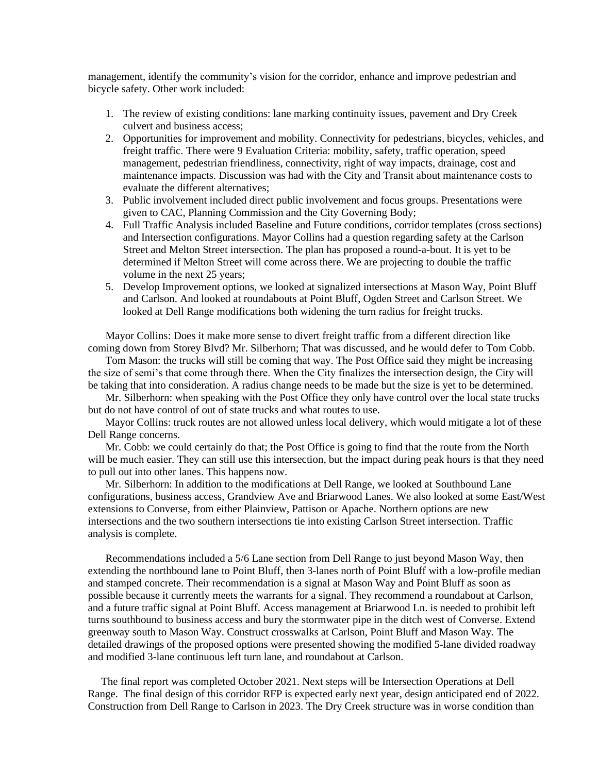management, identify the community's vision for the corridor, enhance and improve pedestrian and bicycle safety. Other work included:

- 1. The review of existing conditions: lane marking continuity issues, pavement and Dry Creek culvert and business access;
- 2. Opportunities for improvement and mobility. Connectivity for pedestrians, bicycles, vehicles, and freight traffic. There were 9 Evaluation Criteria: mobility, safety, traffic operation, speed management, pedestrian friendliness, connectivity, right of way impacts, drainage, cost and maintenance impacts. Discussion was had with the City and Transit about maintenance costs to evaluate the different alternatives;
- 3. Public involvement included direct public involvement and focus groups. Presentations were given to CAC, Planning Commission and the City Governing Body;
- 4. Full Traffic Analysis included Baseline and Future conditions, corridor templates (cross sections) and Intersection configurations. Mayor Collins had a question regarding safety at the Carlson Street and Melton Street intersection. The plan has proposed a round-a-bout. It is yet to be determined if Melton Street will come across there. We are projecting to double the traffic volume in the next 25 years;
- 5. Develop Improvement options, we looked at signalized intersections at Mason Way, Point Bluff and Carlson. And looked at roundabouts at Point Bluff, Ogden Street and Carlson Street. We looked at Dell Range modifications both widening the turn radius for freight trucks.

Mayor Collins: Does it make more sense to divert freight traffic from a different direction like coming down from Storey Blvd? Mr. Silberhorn; That was discussed, and he would defer to Tom Cobb.

Tom Mason: the trucks will still be coming that way. The Post Office said they might be increasing the size of semi's that come through there. When the City finalizes the intersection design, the City will be taking that into consideration. A radius change needs to be made but the size is yet to be determined.

Mr. Silberhorn: when speaking with the Post Office they only have control over the local state trucks but do not have control of out of state trucks and what routes to use.

Mayor Collins: truck routes are not allowed unless local delivery, which would mitigate a lot of these Dell Range concerns.

Mr. Cobb: we could certainly do that; the Post Office is going to find that the route from the North will be much easier. They can still use this intersection, but the impact during peak hours is that they need to pull out into other lanes. This happens now.

Mr. Silberhorn: In addition to the modifications at Dell Range, we looked at Southbound Lane configurations, business access, Grandview Ave and Briarwood Lanes. We also looked at some East/West extensions to Converse, from either Plainview, Pattison or Apache. Northern options are new intersections and the two southern intersections tie into existing Carlson Street intersection. Traffic analysis is complete.

Recommendations included a 5/6 Lane section from Dell Range to just beyond Mason Way, then extending the northbound lane to Point Bluff, then 3-lanes north of Point Bluff with a low-profile median and stamped concrete. Their recommendation is a signal at Mason Way and Point Bluff as soon as possible because it currently meets the warrants for a signal. They recommend a roundabout at Carlson, and a future traffic signal at Point Bluff. Access management at Briarwood Ln. is needed to prohibit left turns southbound to business access and bury the stormwater pipe in the ditch west of Converse. Extend greenway south to Mason Way. Construct crosswalks at Carlson, Point Bluff and Mason Way. The detailed drawings of the proposed options were presented showing the modified 5-lane divided roadway and modified 3-lane continuous left turn lane, and roundabout at Carlson.

The final report was completed October 2021. Next steps will be Intersection Operations at Dell Range. The final design of this corridor RFP is expected early next year, design anticipated end of 2022. Construction from Dell Range to Carlson in 2023. The Dry Creek structure was in worse condition than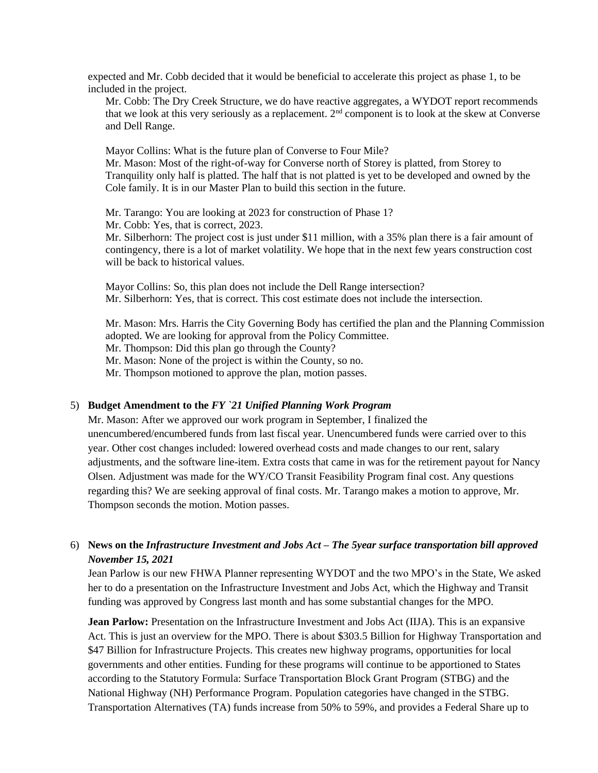expected and Mr. Cobb decided that it would be beneficial to accelerate this project as phase 1, to be included in the project.

Mr. Cobb: The Dry Creek Structure, we do have reactive aggregates, a WYDOT report recommends that we look at this very seriously as a replacement. 2nd component is to look at the skew at Converse and Dell Range.

Mayor Collins: What is the future plan of Converse to Four Mile? Mr. Mason: Most of the right-of-way for Converse north of Storey is platted, from Storey to Tranquility only half is platted. The half that is not platted is yet to be developed and owned by the Cole family. It is in our Master Plan to build this section in the future.

Mr. Tarango: You are looking at 2023 for construction of Phase 1? Mr. Cobb: Yes, that is correct, 2023.

Mr. Silberhorn: The project cost is just under \$11 million, with a 35% plan there is a fair amount of contingency, there is a lot of market volatility. We hope that in the next few years construction cost will be back to historical values.

Mayor Collins: So, this plan does not include the Dell Range intersection? Mr. Silberhorn: Yes, that is correct. This cost estimate does not include the intersection.

Mr. Mason: Mrs. Harris the City Governing Body has certified the plan and the Planning Commission adopted. We are looking for approval from the Policy Committee. Mr. Thompson: Did this plan go through the County? Mr. Mason: None of the project is within the County, so no. Mr. Thompson motioned to approve the plan, motion passes.

#### 5) **Budget Amendment to the** *FY `21 Unified Planning Work Program*

Mr. Mason: After we approved our work program in September, I finalized the unencumbered/encumbered funds from last fiscal year. Unencumbered funds were carried over to this year. Other cost changes included: lowered overhead costs and made changes to our rent, salary adjustments, and the software line-item. Extra costs that came in was for the retirement payout for Nancy Olsen. Adjustment was made for the WY/CO Transit Feasibility Program final cost. Any questions regarding this? We are seeking approval of final costs. Mr. Tarango makes a motion to approve, Mr. Thompson seconds the motion. Motion passes.

# 6) **News on the** *Infrastructure Investment and Jobs Act – The 5year surface transportation bill approved November 15, 2021*

Jean Parlow is our new FHWA Planner representing WYDOT and the two MPO's in the State, We asked her to do a presentation on the Infrastructure Investment and Jobs Act, which the Highway and Transit funding was approved by Congress last month and has some substantial changes for the MPO.

**Jean Parlow:** Presentation on the Infrastructure Investment and Jobs Act (IIJA). This is an expansive Act. This is just an overview for the MPO. There is about \$303.5 Billion for Highway Transportation and \$47 Billion for Infrastructure Projects. This creates new highway programs, opportunities for local governments and other entities. Funding for these programs will continue to be apportioned to States according to the Statutory Formula: Surface Transportation Block Grant Program (STBG) and the National Highway (NH) Performance Program. Population categories have changed in the STBG. Transportation Alternatives (TA) funds increase from 50% to 59%, and provides a Federal Share up to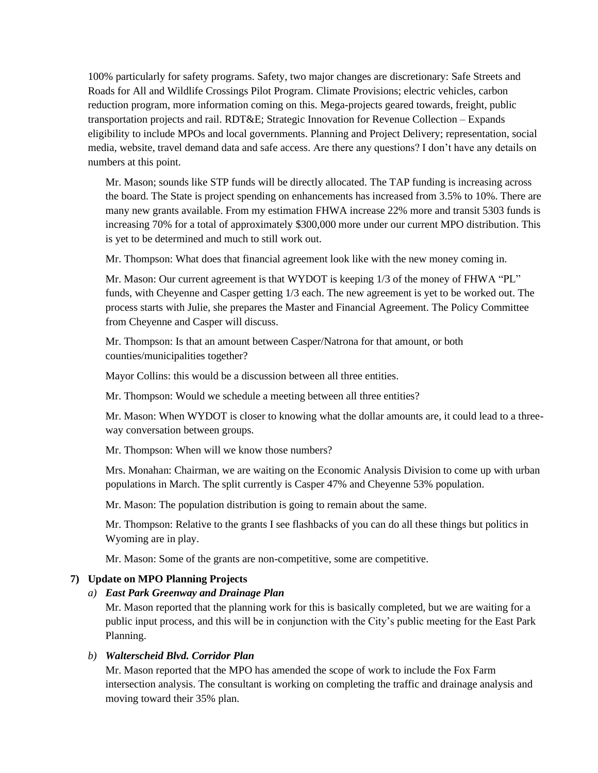100% particularly for safety programs. Safety, two major changes are discretionary: Safe Streets and Roads for All and Wildlife Crossings Pilot Program. Climate Provisions; electric vehicles, carbon reduction program, more information coming on this. Mega-projects geared towards, freight, public transportation projects and rail. RDT&E; Strategic Innovation for Revenue Collection – Expands eligibility to include MPOs and local governments. Planning and Project Delivery; representation, social media, website, travel demand data and safe access. Are there any questions? I don't have any details on numbers at this point.

Mr. Mason; sounds like STP funds will be directly allocated. The TAP funding is increasing across the board. The State is project spending on enhancements has increased from 3.5% to 10%. There are many new grants available. From my estimation FHWA increase 22% more and transit 5303 funds is increasing 70% for a total of approximately \$300,000 more under our current MPO distribution. This is yet to be determined and much to still work out.

Mr. Thompson: What does that financial agreement look like with the new money coming in.

Mr. Mason: Our current agreement is that WYDOT is keeping  $1/3$  of the money of FHWA "PL" funds, with Cheyenne and Casper getting 1/3 each. The new agreement is yet to be worked out. The process starts with Julie, she prepares the Master and Financial Agreement. The Policy Committee from Cheyenne and Casper will discuss.

Mr. Thompson: Is that an amount between Casper/Natrona for that amount, or both counties/municipalities together?

Mayor Collins: this would be a discussion between all three entities.

Mr. Thompson: Would we schedule a meeting between all three entities?

Mr. Mason: When WYDOT is closer to knowing what the dollar amounts are, it could lead to a threeway conversation between groups.

Mr. Thompson: When will we know those numbers?

Mrs. Monahan: Chairman, we are waiting on the Economic Analysis Division to come up with urban populations in March. The split currently is Casper 47% and Cheyenne 53% population.

Mr. Mason: The population distribution is going to remain about the same.

Mr. Thompson: Relative to the grants I see flashbacks of you can do all these things but politics in Wyoming are in play.

Mr. Mason: Some of the grants are non-competitive, some are competitive.

#### **7) Update on MPO Planning Projects**

#### *a) East Park Greenway and Drainage Plan*

Mr. Mason reported that the planning work for this is basically completed, but we are waiting for a public input process, and this will be in conjunction with the City's public meeting for the East Park Planning.

## *b) Walterscheid Blvd. Corridor Plan*

Mr. Mason reported that the MPO has amended the scope of work to include the Fox Farm intersection analysis. The consultant is working on completing the traffic and drainage analysis and moving toward their 35% plan.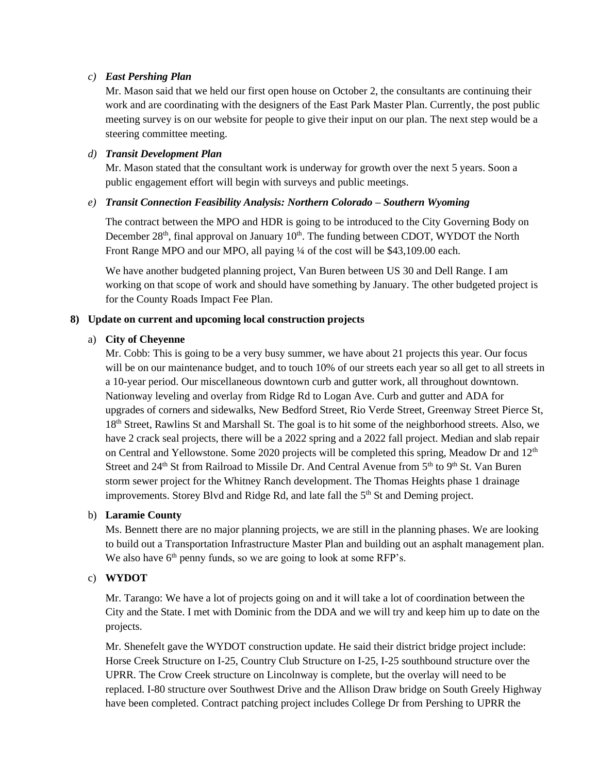## *c) East Pershing Plan*

Mr. Mason said that we held our first open house on October 2, the consultants are continuing their work and are coordinating with the designers of the East Park Master Plan. Currently, the post public meeting survey is on our website for people to give their input on our plan. The next step would be a steering committee meeting.

## *d) Transit Development Plan*

Mr. Mason stated that the consultant work is underway for growth over the next 5 years. Soon a public engagement effort will begin with surveys and public meetings.

## *e) Transit Connection Feasibility Analysis: Northern Colorado – Southern Wyoming*

The contract between the MPO and HDR is going to be introduced to the City Governing Body on December 28<sup>th</sup>, final approval on January 10<sup>th</sup>. The funding between CDOT, WYDOT the North Front Range MPO and our MPO, all paying <sup>1/4</sup> of the cost will be \$43,109.00 each.

We have another budgeted planning project, Van Buren between US 30 and Dell Range. I am working on that scope of work and should have something by January. The other budgeted project is for the County Roads Impact Fee Plan.

## **8) Update on current and upcoming local construction projects**

## a) **City of Cheyenne**

Mr. Cobb: This is going to be a very busy summer, we have about 21 projects this year. Our focus will be on our maintenance budget, and to touch 10% of our streets each year so all get to all streets in a 10-year period. Our miscellaneous downtown curb and gutter work, all throughout downtown. Nationway leveling and overlay from Ridge Rd to Logan Ave. Curb and gutter and ADA for upgrades of corners and sidewalks, New Bedford Street, Rio Verde Street, Greenway Street Pierce St, 18th Street, Rawlins St and Marshall St. The goal is to hit some of the neighborhood streets. Also, we have 2 crack seal projects, there will be a 2022 spring and a 2022 fall project. Median and slab repair on Central and Yellowstone. Some 2020 projects will be completed this spring, Meadow Dr and  $12<sup>th</sup>$ Street and 24<sup>th</sup> St from Railroad to Missile Dr. And Central Avenue from 5<sup>th</sup> to 9<sup>th</sup> St. Van Buren storm sewer project for the Whitney Ranch development. The Thomas Heights phase 1 drainage improvements. Storey Blvd and Ridge Rd, and late fall the 5<sup>th</sup> St and Deming project.

#### b) **Laramie County**

Ms. Bennett there are no major planning projects, we are still in the planning phases. We are looking to build out a Transportation Infrastructure Master Plan and building out an asphalt management plan. We also have 6<sup>th</sup> penny funds, so we are going to look at some RFP's.

## c) **WYDOT**

Mr. Tarango: We have a lot of projects going on and it will take a lot of coordination between the City and the State. I met with Dominic from the DDA and we will try and keep him up to date on the projects.

Mr. Shenefelt gave the WYDOT construction update. He said their district bridge project include: Horse Creek Structure on I-25, Country Club Structure on I-25, I-25 southbound structure over the UPRR. The Crow Creek structure on Lincolnway is complete, but the overlay will need to be replaced. I-80 structure over Southwest Drive and the Allison Draw bridge on South Greely Highway have been completed. Contract patching project includes College Dr from Pershing to UPRR the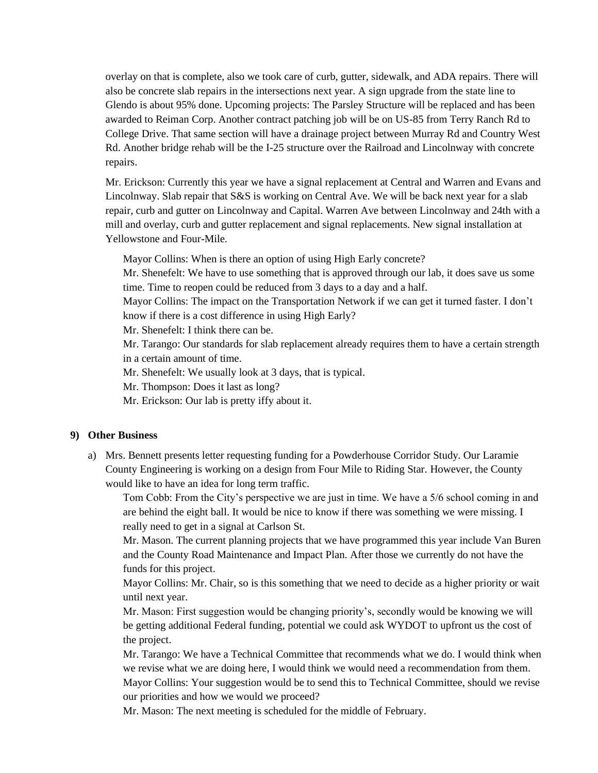overlay on that is complete, also we took care of curb, gutter, sidewalk, and ADA repairs. There will also be concrete slab repairs in the intersections next year. A sign upgrade from the state line to Glendo is about 95% done. Upcoming projects: The Parsley Structure will be replaced and has been awarded to Reiman Corp. Another contract patching job will be on US-85 from Terry Ranch Rd to College Drive. That same section will have a drainage project between Murray Rd and Country West Rd. Another bridge rehab will be the I-25 structure over the Railroad and Lincolnway with concrete repairs.

Mr. Erickson: Currently this year we have a signal replacement at Central and Warren and Evans and Lincolnway. Slab repair that S&S is working on Central Ave. We will be back next year for a slab repair, curb and gutter on Lincolnway and Capital. Warren Ave between Lincolnway and 24th with a mill and overlay, curb and gutter replacement and signal replacements. New signal installation at Yellowstone and Four-Mile.

Mayor Collins: When is there an option of using High Early concrete?

Mr. Shenefelt: We have to use something that is approved through our lab, it does save us some time. Time to reopen could be reduced from 3 days to a day and a half.

Mayor Collins: The impact on the Transportation Network if we can get it turned faster. I don't know if there is a cost difference in using High Early?

Mr. Shenefelt: I think there can be.

Mr. Tarango: Our standards for slab replacement already requires them to have a certain strength in a certain amount of time.

Mr. Shenefelt: We usually look at 3 days, that is typical.

Mr. Thompson: Does it last as long?

Mr. Erickson: Our lab is pretty iffy about it.

#### **9) Other Business**

a) Mrs. Bennett presents letter requesting funding for a Powderhouse Corridor Study. Our Laramie County Engineering is working on a design from Four Mile to Riding Star. However, the County would like to have an idea for long term traffic.

Tom Cobb: From the City's perspective we are just in time. We have a 5/6 school coming in and are behind the eight ball. It would be nice to know if there was something we were missing. I really need to get in a signal at Carlson St.

Mr. Mason. The current planning projects that we have programmed this year include Van Buren and the County Road Maintenance and Impact Plan. After those we currently do not have the funds for this project.

Mayor Collins: Mr. Chair, so is this something that we need to decide as a higher priority or wait until next year.

Mr. Mason: First suggestion would be changing priority's, secondly would be knowing we will be getting additional Federal funding, potential we could ask WYDOT to upfront us the cost of the project.

Mr. Tarango: We have a Technical Committee that recommends what we do. I would think when we revise what we are doing here, I would think we would need a recommendation from them. Mayor Collins: Your suggestion would be to send this to Technical Committee, should we revise our priorities and how we would we proceed?

Mr. Mason: The next meeting is scheduled for the middle of February.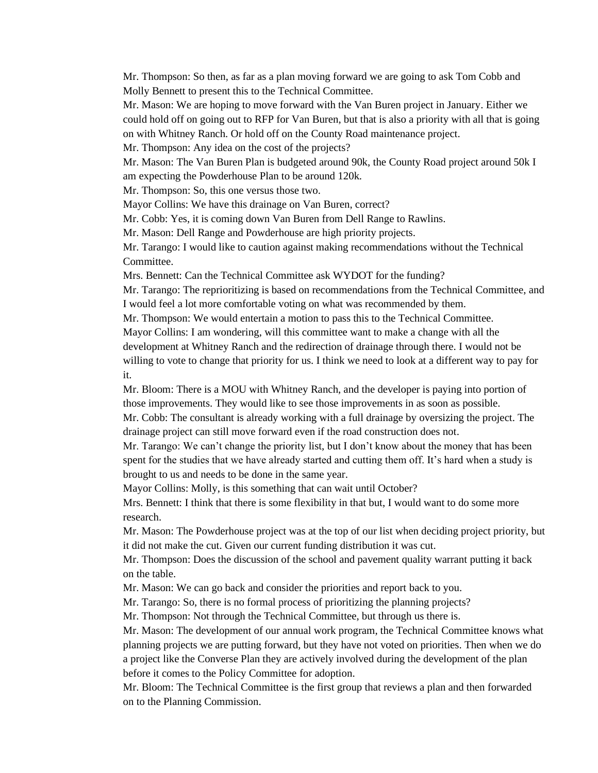Mr. Thompson: So then, as far as a plan moving forward we are going to ask Tom Cobb and Molly Bennett to present this to the Technical Committee.

Mr. Mason: We are hoping to move forward with the Van Buren project in January. Either we could hold off on going out to RFP for Van Buren, but that is also a priority with all that is going on with Whitney Ranch. Or hold off on the County Road maintenance project.

Mr. Thompson: Any idea on the cost of the projects?

Mr. Mason: The Van Buren Plan is budgeted around 90k, the County Road project around 50k I am expecting the Powderhouse Plan to be around 120k.

Mr. Thompson: So, this one versus those two.

Mayor Collins: We have this drainage on Van Buren, correct?

Mr. Cobb: Yes, it is coming down Van Buren from Dell Range to Rawlins.

Mr. Mason: Dell Range and Powderhouse are high priority projects.

Mr. Tarango: I would like to caution against making recommendations without the Technical Committee.

Mrs. Bennett: Can the Technical Committee ask WYDOT for the funding?

Mr. Tarango: The reprioritizing is based on recommendations from the Technical Committee, and I would feel a lot more comfortable voting on what was recommended by them.

Mr. Thompson: We would entertain a motion to pass this to the Technical Committee.

Mayor Collins: I am wondering, will this committee want to make a change with all the development at Whitney Ranch and the redirection of drainage through there. I would not be willing to vote to change that priority for us. I think we need to look at a different way to pay for it.

Mr. Bloom: There is a MOU with Whitney Ranch, and the developer is paying into portion of those improvements. They would like to see those improvements in as soon as possible. Mr. Cobb: The consultant is already working with a full drainage by oversizing the project. The drainage project can still move forward even if the road construction does not.

Mr. Tarango: We can't change the priority list, but I don't know about the money that has been spent for the studies that we have already started and cutting them off. It's hard when a study is brought to us and needs to be done in the same year.

Mayor Collins: Molly, is this something that can wait until October?

Mrs. Bennett: I think that there is some flexibility in that but, I would want to do some more research.

Mr. Mason: The Powderhouse project was at the top of our list when deciding project priority, but it did not make the cut. Given our current funding distribution it was cut.

Mr. Thompson: Does the discussion of the school and pavement quality warrant putting it back on the table.

Mr. Mason: We can go back and consider the priorities and report back to you.

Mr. Tarango: So, there is no formal process of prioritizing the planning projects?

Mr. Thompson: Not through the Technical Committee, but through us there is.

Mr. Mason: The development of our annual work program, the Technical Committee knows what planning projects we are putting forward, but they have not voted on priorities. Then when we do a project like the Converse Plan they are actively involved during the development of the plan before it comes to the Policy Committee for adoption.

Mr. Bloom: The Technical Committee is the first group that reviews a plan and then forwarded on to the Planning Commission.